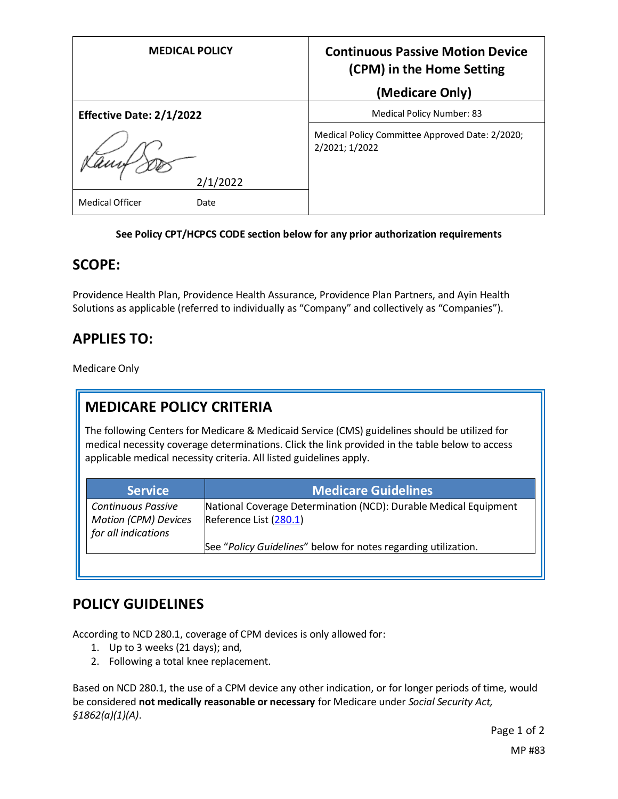| <b>MEDICAL POLICY</b>           | <b>Continuous Passive Motion Device</b><br>(CPM) in the Home Setting<br>(Medicare Only) |
|---------------------------------|-----------------------------------------------------------------------------------------|
|                                 |                                                                                         |
| <b>Effective Date: 2/1/2022</b> | Medical Policy Number: 83                                                               |
|                                 | Medical Policy Committee Approved Date: 2/2020;<br>2/2021; 1/2022                       |
| 2/1/2022                        |                                                                                         |
| <b>Medical Officer</b><br>Date  |                                                                                         |

#### **See Policy CPT/HCPCS CODE section below for any prior authorization requirements**

### **SCOPE:**

Providence Health Plan, Providence Health Assurance, Providence Plan Partners, and Ayin Health Solutions as applicable (referred to individually as "Company" and collectively as "Companies").

# **APPLIES TO:**

Medicare Only

# **MEDICARE POLICY CRITERIA**

The following Centers for Medicare & Medicaid Service (CMS) guidelines should be utilized for medical necessity coverage determinations. Click the link provided in the table below to access applicable medical necessity criteria. All listed guidelines apply.

| <b>Service</b>                                                                  | <b>Medicare Guidelines</b>                                                                 |
|---------------------------------------------------------------------------------|--------------------------------------------------------------------------------------------|
| <b>Continuous Passive</b><br><b>Motion (CPM) Devices</b><br>for all indications | National Coverage Determination (NCD): Durable Medical Equipment<br>Reference List (280.1) |
|                                                                                 | See "Policy Guidelines" below for notes regarding utilization.                             |

# **POLICY GUIDELINES**

According to NCD 280.1, coverage of CPM devices is only allowed for:

- 1. Up to 3 weeks (21 days); and,
- 2. Following a total knee replacement.

Based on NCD 280.1, the use of a CPM device any other indication, or for longer periods of time, would be considered **not medically reasonable or necessary** for Medicare under *Social Security Act, §1862(a)(1)(A)*.